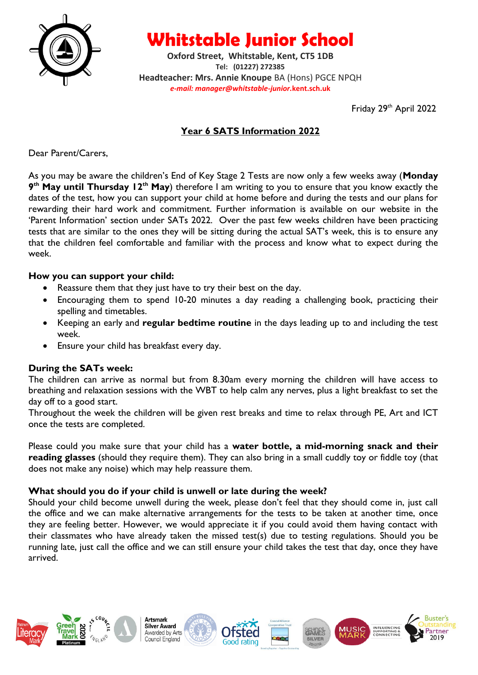

**Whitstable Junior School**

**Oxford Street, Whitstable, Kent, CT5 1DB Tel: (01227) 272385 Headteacher: Mrs. Annie Knoupe** BA (Hons) PGCE NPQH *e-mail: manager@whitstable-junior.***kent.sch.uk**

Friday 29<sup>th</sup> April 2022

# **Year 6 SATS Information 2022**

Dear Parent/Carers,

As you may be aware the children's End of Key Stage 2 Tests are now only a few weeks away (**Monday 9 th May until Thursday 12th May**) therefore I am writing to you to ensure that you know exactly the dates of the test, how you can support your child at home before and during the tests and our plans for rewarding their hard work and commitment. Further information is available on our website in the 'Parent Information' section under SATs 2022. Over the past few weeks children have been practicing tests that are similar to the ones they will be sitting during the actual SAT's week, this is to ensure any that the children feel comfortable and familiar with the process and know what to expect during the week.

### **How you can support your child:**

- Reassure them that they just have to try their best on the day.
- Encouraging them to spend 10-20 minutes a day reading a challenging book, practicing their spelling and timetables.
- Keeping an early and **regular bedtime routine** in the days leading up to and including the test week.
- Ensure your child has breakfast every day.

### **During the SATs week:**

The children can arrive as normal but from 8.30am every morning the children will have access to breathing and relaxation sessions with the WBT to help calm any nerves, plus a light breakfast to set the day off to a good start.

Throughout the week the children will be given rest breaks and time to relax through PE, Art and ICT once the tests are completed.

Please could you make sure that your child has a **water bottle, a mid-morning snack and their reading glasses** (should they require them). They can also bring in a small cuddly toy or fiddle toy (that does not make any noise) which may help reassure them.

#### **What should you do if your child is unwell or late during the week?**

Should your child become unwell during the week, please don't feel that they should come in, just call the office and we can make alternative arrangements for the tests to be taken at another time, once they are feeling better. However, we would appreciate it if you could avoid them having contact with their classmates who have already taken the missed test(s) due to testing regulations. Should you be running late, just call the office and we can still ensure your child takes the test that day, once they have arrived.